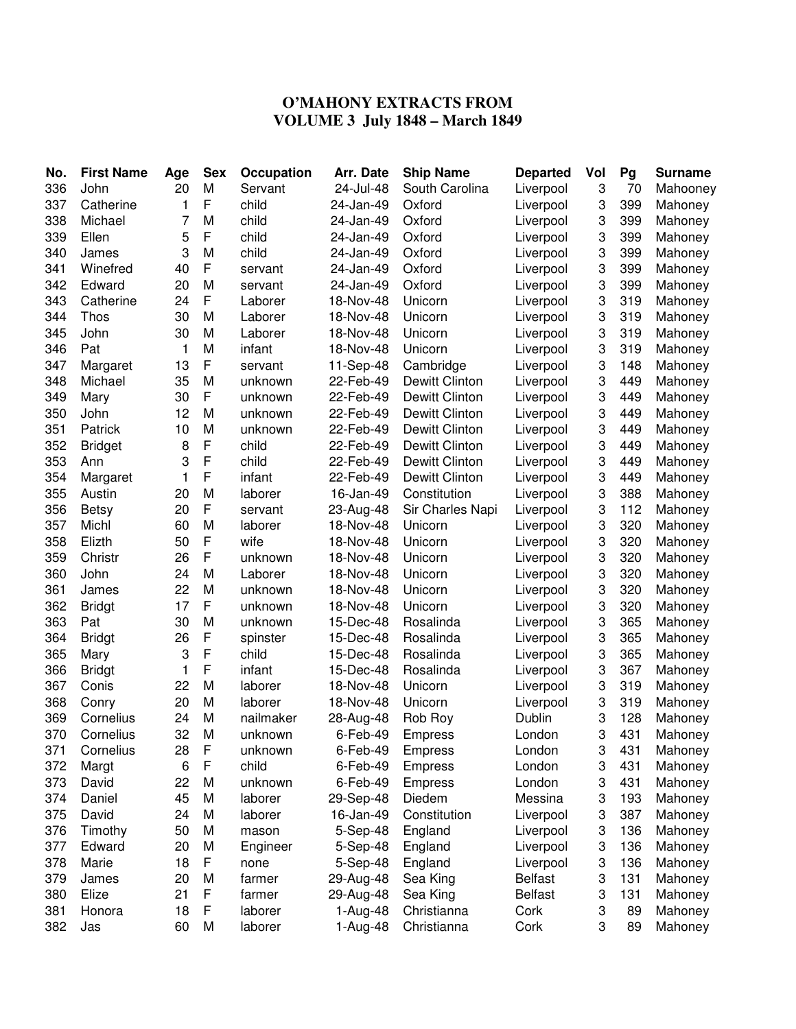## **O'MAHONY EXTRACTS FROM VOLUME 3 July 1848 – March 1849**

| No.        | <b>First Name</b> | Age     | <b>Sex</b>  | Occupation       | Arr. Date | <b>Ship Name</b>      | <b>Departed</b>  | Vol    | Pg  | <b>Surname</b>     |
|------------|-------------------|---------|-------------|------------------|-----------|-----------------------|------------------|--------|-----|--------------------|
| 336        | John              | 20      | M           | Servant          | 24-Jul-48 | South Carolina        | Liverpool        | 3      | 70  | Mahooney           |
| 337        | Catherine         | 1       | F           | child            | 24-Jan-49 | Oxford                | Liverpool        | 3      | 399 | Mahoney            |
| 338        | Michael           | 7       | M           | child            | 24-Jan-49 | Oxford                | Liverpool        | 3      | 399 | Mahoney            |
| 339        | Ellen             | 5       | F           | child            | 24-Jan-49 | Oxford                | Liverpool        | 3      | 399 | Mahoney            |
| 340        | James             | 3       | M           | child            | 24-Jan-49 | Oxford                | Liverpool        | 3      | 399 | Mahoney            |
| 341        | Winefred          | 40      | F           | servant          | 24-Jan-49 | Oxford                | Liverpool        | 3      | 399 | Mahoney            |
| 342        | Edward            | 20      | M           | servant          | 24-Jan-49 | Oxford                | Liverpool        | 3      | 399 | Mahoney            |
| 343        | Catherine         | 24      | $\mathsf F$ | Laborer          | 18-Nov-48 | Unicorn               | Liverpool        | 3      | 319 | Mahoney            |
| 344        | Thos              | 30      | M           | Laborer          | 18-Nov-48 | Unicorn               | Liverpool        | 3      | 319 | Mahoney            |
| 345        | John              | 30      | M           | Laborer          | 18-Nov-48 | Unicorn               | Liverpool        | 3      | 319 | Mahoney            |
| 346        | Pat               | 1       | M           | infant           | 18-Nov-48 | Unicorn               | Liverpool        | 3      | 319 | Mahoney            |
| 347        | Margaret          | 13      | $\mathsf F$ | servant          | 11-Sep-48 | Cambridge             | Liverpool        | 3      | 148 | Mahoney            |
| 348        | Michael           | 35      | M           | unknown          | 22-Feb-49 | <b>Dewitt Clinton</b> | Liverpool        | 3      | 449 | Mahoney            |
| 349        | Mary              | 30      | $\mathsf F$ | unknown          | 22-Feb-49 | <b>Dewitt Clinton</b> | Liverpool        | 3      | 449 | Mahoney            |
| 350        | John              | 12      | M           | unknown          | 22-Feb-49 | <b>Dewitt Clinton</b> | Liverpool        | 3      | 449 | Mahoney            |
| 351        | Patrick           | 10      | M           | unknown          | 22-Feb-49 | <b>Dewitt Clinton</b> | Liverpool        | 3      | 449 | Mahoney            |
| 352        | <b>Bridget</b>    | 8       | $\mathsf F$ | child            | 22-Feb-49 | <b>Dewitt Clinton</b> | Liverpool        | 3      | 449 | Mahoney            |
| 353        | Ann               | 3       | F           | child            | 22-Feb-49 | Dewitt Clinton        | Liverpool        | 3      | 449 | Mahoney            |
| 354        | Margaret          | 1       | F           | infant           | 22-Feb-49 | <b>Dewitt Clinton</b> | Liverpool        | 3      | 449 | Mahoney            |
| 355        | Austin            | 20      | M           | laborer          | 16-Jan-49 | Constitution          | Liverpool        | 3      | 388 | Mahoney            |
| 356        | <b>Betsy</b>      | 20      | $\mathsf F$ | servant          | 23-Aug-48 | Sir Charles Napi      | Liverpool        | 3      | 112 | Mahoney            |
| 357        | Michl             | 60      | M           | laborer          | 18-Nov-48 | Unicorn               | Liverpool        | 3      | 320 | Mahoney            |
| 358        | Elizth            | 50      | $\mathsf F$ | wife             | 18-Nov-48 | Unicorn               | Liverpool        | 3      | 320 | Mahoney            |
| 359        | Christr           | 26      | $\mathsf F$ | unknown          | 18-Nov-48 | Unicorn               | Liverpool        | 3      | 320 | Mahoney            |
| 360        | John              | 24      | M           | Laborer          | 18-Nov-48 | Unicorn               | Liverpool        | 3      | 320 | Mahoney            |
| 361        | James             | 22      | M           | unknown          | 18-Nov-48 | Unicorn               | Liverpool        | 3      | 320 | Mahoney            |
| 362        | <b>Bridgt</b>     | 17      | F           | unknown          | 18-Nov-48 | Unicorn               | Liverpool        | 3      | 320 | Mahoney            |
| 363        | Pat               | 30      | M           | unknown          | 15-Dec-48 | Rosalinda             | Liverpool        | 3      | 365 | Mahoney            |
| 364        | <b>Bridgt</b>     | 26      | $\mathsf F$ | spinster         | 15-Dec-48 | Rosalinda             | Liverpool        | 3      | 365 | Mahoney            |
| 365        | Mary              | 3       | F           | child            | 15-Dec-48 | Rosalinda             | Liverpool        | 3      | 365 | Mahoney            |
| 366        | <b>Bridgt</b>     | 1       | F           | infant           | 15-Dec-48 | Rosalinda             | Liverpool        | 3      | 367 | Mahoney            |
| 367        | Conis             | 22      | M           | laborer          | 18-Nov-48 | Unicorn               | Liverpool        | 3      | 319 | Mahoney            |
| 368        | Conry             | 20      | M           | laborer          | 18-Nov-48 | Unicorn               | Liverpool        | 3      | 319 | Mahoney            |
| 369        | Cornelius         | 24      | M           | nailmaker        | 28-Aug-48 | Rob Roy               | Dublin           | 3      | 128 | Mahoney            |
| 370        | Cornelius         | 32      | M           | unknown          | 6-Feb-49  | <b>Empress</b>        | London           | 3      | 431 | Mahoney            |
|            | Cornelius         |         |             |                  |           |                       |                  |        | 431 |                    |
| 371<br>372 |                   | 28<br>6 | F<br>F      | unknown<br>child | 6-Feb-49  | <b>Empress</b>        | London<br>London | З<br>3 | 431 | Mahoney<br>Mahoney |
|            | Margt             | 22      | M           |                  | 6-Feb-49  | Empress               |                  |        |     |                    |
| 373        | David             |         |             | unknown          | 6-Feb-49  | <b>Empress</b>        | London           | 3      | 431 | Mahoney            |
| 374        | Daniel            | 45      | M           | laborer          | 29-Sep-48 | Diedem                | Messina          | 3      | 193 | Mahoney            |
| 375        | David             | 24      | M           | laborer          | 16-Jan-49 | Constitution          | Liverpool        | 3      | 387 | Mahoney            |
| 376        | Timothy           | 50      | M           | mason            | 5-Sep-48  | England               | Liverpool        | 3      | 136 | Mahoney            |
| 377        | Edward            | 20      | M           | Engineer         | 5-Sep-48  | England               | Liverpool        | 3      | 136 | Mahoney            |
| 378        | Marie             | 18      | F           | none             | 5-Sep-48  | England               | Liverpool        | 3      | 136 | Mahoney            |
| 379        | James             | 20      | M           | farmer           | 29-Aug-48 | Sea King              | <b>Belfast</b>   | 3      | 131 | Mahoney            |
| 380        | Elize             | 21      | F           | farmer           | 29-Aug-48 | Sea King              | <b>Belfast</b>   | 3      | 131 | Mahoney            |
| 381        | Honora            | 18      | $\mathsf F$ | laborer          | 1-Aug-48  | Christianna           | Cork             | 3      | 89  | Mahoney            |
| 382        | Jas               | 60      | M           | laborer          | 1-Aug-48  | Christianna           | Cork             | 3      | 89  | Mahoney            |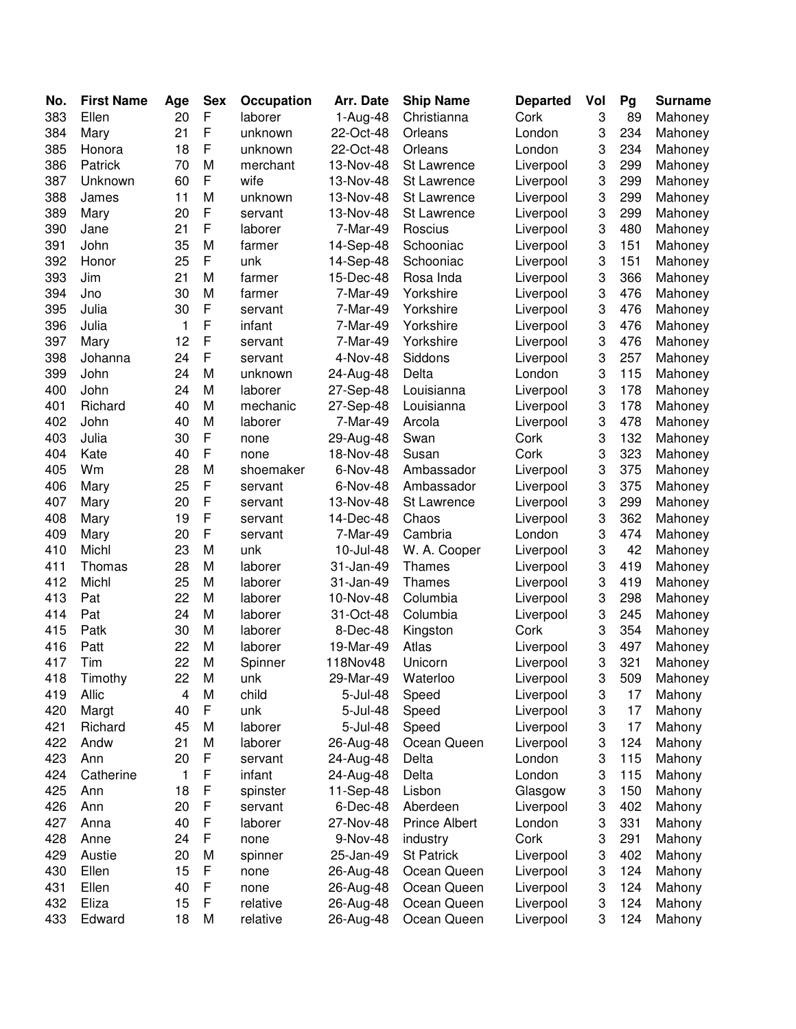| No. | <b>First Name</b> | Age | <b>Sex</b>  | Occupation | Arr. Date | <b>Ship Name</b>              | <b>Departed</b> | Vol | Pg  | <b>Surname</b> |
|-----|-------------------|-----|-------------|------------|-----------|-------------------------------|-----------------|-----|-----|----------------|
| 383 | Ellen             | 20  | F           | laborer    | 1-Aug-48  | Christianna                   | Cork            | 3   | 89  | Mahoney        |
| 384 | Mary              | 21  | $\mathsf F$ | unknown    | 22-Oct-48 | Orleans                       | London          | 3   | 234 | Mahoney        |
| 385 | Honora            | 18  | $\mathsf F$ | unknown    | 22-Oct-48 | Orleans                       | London          | 3   | 234 | Mahoney        |
| 386 | Patrick           | 70  | M           | merchant   | 13-Nov-48 | St Lawrence                   | Liverpool       | 3   | 299 | Mahoney        |
| 387 | Unknown           | 60  | F           | wife       | 13-Nov-48 | St Lawrence                   | Liverpool       | 3   | 299 | Mahoney        |
| 388 | James             | 11  | M           | unknown    | 13-Nov-48 | <b>St Lawrence</b>            | Liverpool       | 3   | 299 | Mahoney        |
| 389 | Mary              | 20  | F           | servant    | 13-Nov-48 | St Lawrence                   | Liverpool       | 3   | 299 | Mahoney        |
| 390 | Jane              | 21  | F           | laborer    | 7-Mar-49  | Roscius                       | Liverpool       | 3   | 480 | Mahoney        |
| 391 | John              | 35  | M           | farmer     | 14-Sep-48 | Schooniac                     | Liverpool       | 3   | 151 | Mahoney        |
| 392 | Honor             | 25  | F           | unk        | 14-Sep-48 | Schooniac                     | Liverpool       | 3   | 151 | Mahoney        |
| 393 | Jim               | 21  | M           | farmer     | 15-Dec-48 | Rosa Inda                     | Liverpool       | 3   | 366 | Mahoney        |
| 394 | Jno               | 30  | M           | farmer     | 7-Mar-49  | Yorkshire                     | Liverpool       | 3   | 476 | Mahoney        |
| 395 | Julia             | 30  | F           | servant    | 7-Mar-49  | Yorkshire                     | Liverpool       | 3   | 476 | Mahoney        |
| 396 | Julia             | 1   | $\mathsf F$ | infant     | 7-Mar-49  | Yorkshire                     | Liverpool       | 3   | 476 | Mahoney        |
| 397 | Mary              | 12  | $\mathsf F$ | servant    | 7-Mar-49  | Yorkshire                     | Liverpool       | 3   | 476 | Mahoney        |
| 398 | Johanna           | 24  | $\mathsf F$ | servant    | 4-Nov-48  | Siddons                       | Liverpool       | 3   | 257 | Mahoney        |
| 399 | John              | 24  | M           | unknown    | 24-Aug-48 | Delta                         | London          | 3   | 115 | Mahoney        |
| 400 | John              | 24  | M           | laborer    | 27-Sep-48 | Louisianna                    | Liverpool       | 3   | 178 | Mahoney        |
| 401 | Richard           | 40  | M           | mechanic   | 27-Sep-48 | Louisianna                    | Liverpool       | 3   | 178 | Mahoney        |
| 402 | John              | 40  | M           | laborer    | 7-Mar-49  | Arcola                        | Liverpool       | 3   | 478 | Mahoney        |
| 403 | Julia             | 30  | $\mathsf F$ | none       | 29-Aug-48 | Swan                          | Cork            | 3   | 132 | Mahoney        |
| 404 | Kate              | 40  | F           | none       | 18-Nov-48 | Susan                         | Cork            | 3   | 323 | Mahoney        |
| 405 | Wm                | 28  | M           | shoemaker  | 6-Nov-48  | Ambassador                    | Liverpool       | 3   | 375 | Mahoney        |
| 406 | Mary              | 25  | F           | servant    | 6-Nov-48  | Ambassador                    | Liverpool       | 3   | 375 | Mahoney        |
| 407 | Mary              | 20  | F           | servant    | 13-Nov-48 | St Lawrence                   | Liverpool       | 3   | 299 | Mahoney        |
| 408 | Mary              | 19  | F           | servant    | 14-Dec-48 | Chaos                         | Liverpool       | 3   | 362 | Mahoney        |
| 409 | Mary              | 20  | F           | servant    | 7-Mar-49  | Cambria                       | London          | 3   | 474 | Mahoney        |
| 410 | Michl             | 23  | M           | unk        | 10-Jul-48 | W. A. Cooper                  | Liverpool       | 3   | 42  | Mahoney        |
| 411 | Thomas            | 28  | M           | laborer    | 31-Jan-49 | Thames                        | Liverpool       | 3   | 419 | Mahoney        |
| 412 | Michl             | 25  | M           | laborer    | 31-Jan-49 | <b>Thames</b>                 | Liverpool       | 3   | 419 | Mahoney        |
| 413 | Pat               | 22  | M           | laborer    | 10-Nov-48 | Columbia                      | Liverpool       | 3   | 298 | Mahoney        |
| 414 | Pat               | 24  | M           | laborer    | 31-Oct-48 | Columbia                      | Liverpool       | 3   | 245 | Mahoney        |
| 415 | Patk              | 30  | M           | laborer    | 8-Dec-48  | Kingston                      | Cork            | 3   | 354 | Mahoney        |
| 416 | Patt              | 22  | M           | laborer    | 19-Mar-49 | Atlas                         | Liverpool       | 3   | 497 | Mahoney        |
| 417 | Tim               | 22  | M           | Spinner    | 118Nov48  | Unicorn                       | Liverpool       | 3   | 321 | Mahoney        |
| 418 | Timothy           | 22  | M           | unk        | 29-Mar-49 | Waterloo                      | Liverpool       | 3   | 509 | Mahoney        |
| 419 | Allic             | 4   | M           | child      | 5-Jul-48  | Speed                         | Liverpool       | 3   | 17  | Mahony         |
| 420 | Margt             | 40  | $\mathsf F$ | unk        | 5-Jul-48  | Speed                         | Liverpool       | 3   | 17  | Mahony         |
| 421 | Richard           | 45  | M           | laborer    | 5-Jul-48  | Speed                         | Liverpool       | 3   | 17  | Mahony         |
| 422 | Andw              | 21  | M           | laborer    | 26-Aug-48 | Ocean Queen                   | Liverpool       | 3   | 124 | Mahony         |
| 423 | Ann               | 20  | F           | servant    | 24-Aug-48 | Delta                         | London          | 3   | 115 | Mahony         |
| 424 | Catherine         | 1   | F           | infant     | 24-Aug-48 | Delta                         | London          | 3   | 115 | Mahony         |
| 425 | Ann               | 18  | F           | spinster   | 11-Sep-48 | Lisbon                        | Glasgow         | 3   | 150 | Mahony         |
| 426 | Ann               | 20  | F           | servant    | 6-Dec-48  | Aberdeen                      | Liverpool       | 3   | 402 | Mahony         |
| 427 | Anna              | 40  | F           | laborer    | 27-Nov-48 | <b>Prince Albert</b>          | London          | 3   | 331 | Mahony         |
| 428 | Anne              | 24  | $\mathsf F$ | none       | 9-Nov-48  |                               | Cork            | 3   | 291 | Mahony         |
| 429 | Austie            | 20  | M           | spinner    | 25-Jan-49 | industry<br><b>St Patrick</b> | Liverpool       | 3   | 402 | Mahony         |
| 430 | Ellen             | 15  | F           | none       | 26-Aug-48 | Ocean Queen                   | Liverpool       | 3   | 124 | Mahony         |
| 431 | Ellen             | 40  | F           | none       | 26-Aug-48 | Ocean Queen                   | Liverpool       | 3   | 124 | Mahony         |
| 432 | Eliza             | 15  | F           | relative   | 26-Aug-48 | Ocean Queen                   | Liverpool       | 3   | 124 | Mahony         |
| 433 | Edward            | 18  | M           | relative   | 26-Aug-48 | Ocean Queen                   | Liverpool       | 3   | 124 | Mahony         |
|     |                   |     |             |            |           |                               |                 |     |     |                |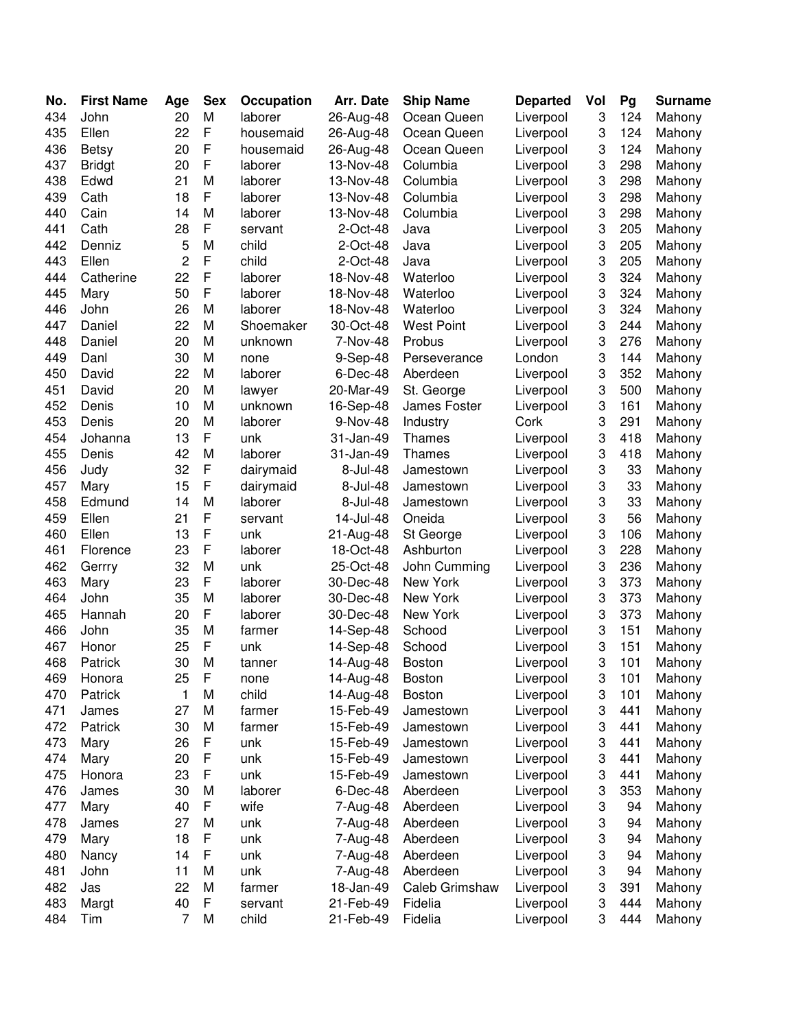| No. | <b>First Name</b> | Age | <b>Sex</b>  | Occupation | Arr. Date | <b>Ship Name</b>  | <b>Departed</b> | Vol | Pg  | <b>Surname</b> |
|-----|-------------------|-----|-------------|------------|-----------|-------------------|-----------------|-----|-----|----------------|
| 434 | John              | 20  | M           | laborer    | 26-Aug-48 | Ocean Queen       | Liverpool       | 3   | 124 | Mahony         |
| 435 | Ellen             | 22  | F           | housemaid  | 26-Aug-48 | Ocean Queen       | Liverpool       | 3   | 124 | Mahony         |
| 436 | <b>Betsy</b>      | 20  | F           | housemaid  | 26-Aug-48 | Ocean Queen       | Liverpool       | 3   | 124 | Mahony         |
| 437 | <b>Bridgt</b>     | 20  | F           | laborer    | 13-Nov-48 | Columbia          | Liverpool       | 3   | 298 | Mahony         |
| 438 | Edwd              | 21  | M           | laborer    | 13-Nov-48 | Columbia          | Liverpool       | 3   | 298 | Mahony         |
| 439 | Cath              | 18  | F           | laborer    | 13-Nov-48 | Columbia          | Liverpool       | 3   | 298 | Mahony         |
| 440 | Cain              | 14  | M           | laborer    | 13-Nov-48 | Columbia          | Liverpool       | 3   | 298 | Mahony         |
| 441 | Cath              | 28  | F           | servant    | 2-Oct-48  | Java              | Liverpool       | 3   | 205 | Mahony         |
| 442 | Denniz            | 5   | M           | child      | 2-Oct-48  | Java              | Liverpool       | 3   | 205 | Mahony         |
| 443 | Ellen             | 2   | F           | child      | 2-Oct-48  | Java              | Liverpool       | 3   | 205 | Mahony         |
| 444 | Catherine         | 22  | F           | laborer    | 18-Nov-48 | Waterloo          | Liverpool       | 3   | 324 | Mahony         |
| 445 | Mary              | 50  | F           | laborer    | 18-Nov-48 | Waterloo          | Liverpool       | 3   | 324 | Mahony         |
| 446 | John              | 26  | M           | laborer    | 18-Nov-48 | Waterloo          | Liverpool       | 3   | 324 | Mahony         |
| 447 | Daniel            | 22  | M           | Shoemaker  | 30-Oct-48 | <b>West Point</b> | Liverpool       | 3   | 244 | Mahony         |
| 448 | Daniel            | 20  | M           | unknown    | 7-Nov-48  | Probus            | Liverpool       | 3   | 276 | Mahony         |
| 449 | Danl              | 30  | M           | none       | 9-Sep-48  | Perseverance      | London          | 3   | 144 | Mahony         |
| 450 | David             | 22  | M           | laborer    | 6-Dec-48  | Aberdeen          | Liverpool       | 3   | 352 | Mahony         |
| 451 | David             | 20  | M           | lawyer     | 20-Mar-49 | St. George        | Liverpool       | 3   | 500 | Mahony         |
| 452 | Denis             | 10  | M           | unknown    | 16-Sep-48 | James Foster      | Liverpool       | 3   | 161 | Mahony         |
| 453 | Denis             | 20  | M           | laborer    | 9-Nov-48  | Industry          | Cork            | 3   | 291 | Mahony         |
| 454 | Johanna           | 13  | F           | unk        | 31-Jan-49 | Thames            | Liverpool       | 3   | 418 | Mahony         |
| 455 | Denis             | 42  | M           | laborer    | 31-Jan-49 | Thames            | Liverpool       | 3   | 418 | Mahony         |
| 456 | Judy              | 32  | F           | dairymaid  | 8-Jul-48  | Jamestown         | Liverpool       | 3   | 33  | Mahony         |
| 457 | Mary              | 15  | F           | dairymaid  | 8-Jul-48  | Jamestown         | Liverpool       | 3   | 33  | Mahony         |
| 458 | Edmund            | 14  | M           | laborer    | 8-Jul-48  | Jamestown         | Liverpool       | 3   | 33  | Mahony         |
| 459 | Ellen             | 21  | F           | servant    | 14-Jul-48 | Oneida            | Liverpool       | 3   | 56  | Mahony         |
| 460 | Ellen             | 13  | F           | unk        | 21-Aug-48 | St George         | Liverpool       | 3   | 106 | Mahony         |
| 461 | Florence          | 23  | F           | laborer    | 18-Oct-48 | Ashburton         | Liverpool       | 3   | 228 | Mahony         |
| 462 | Gerrry            | 32  | M           | unk        | 25-Oct-48 | John Cumming      | Liverpool       | 3   | 236 | Mahony         |
| 463 | Mary              | 23  | F           | laborer    | 30-Dec-48 | New York          | Liverpool       | 3   | 373 | Mahony         |
| 464 | John              | 35  | M           | laborer    | 30-Dec-48 | New York          | Liverpool       | 3   | 373 | Mahony         |
| 465 | Hannah            | 20  | F           | laborer    | 30-Dec-48 | New York          | Liverpool       | 3   | 373 | Mahony         |
| 466 | John              | 35  | M           | farmer     | 14-Sep-48 | Schood            | Liverpool       | 3   | 151 | Mahony         |
| 467 | Honor             | 25  | F           | unk        | 14-Sep-48 | Schood            | Liverpool       | 3   | 151 | Mahony         |
| 468 | Patrick           | 30  | M           | tanner     | 14-Aug-48 | <b>Boston</b>     | Liverpool       | 3   | 101 | Mahony         |
| 469 | Honora            | 25  | $\mathsf F$ | none       | 14-Aug-48 | Boston            | Liverpool       | 3   | 101 | Mahony         |
| 470 | Patrick           | 1   | M           | child      | 14-Aug-48 | <b>Boston</b>     | Liverpool       | 3   | 101 | Mahony         |
| 471 | James             | 27  | M           | farmer     | 15-Feb-49 | Jamestown         | Liverpool       | 3   | 441 | Mahony         |
| 472 | Patrick           | 30  | M           | farmer     | 15-Feb-49 | Jamestown         | Liverpool       | 3   | 441 | Mahony         |
| 473 | Mary              | 26  | F           | unk        | 15-Feb-49 | Jamestown         | Liverpool       | 3   | 441 | Mahony         |
| 474 | Mary              | 20  | F           | unk        | 15-Feb-49 | Jamestown         | Liverpool       | 3   | 441 | Mahony         |
| 475 | Honora            | 23  | F           | unk        | 15-Feb-49 | Jamestown         | Liverpool       | 3   | 441 | Mahony         |
| 476 | James             | 30  | M           | laborer    | 6-Dec-48  | Aberdeen          | Liverpool       | 3   | 353 | Mahony         |
| 477 | Mary              | 40  | F           | wife       | 7-Aug-48  | Aberdeen          | Liverpool       | 3   | 94  | Mahony         |
| 478 | James             | 27  | M           | unk        | 7-Aug-48  | Aberdeen          | Liverpool       | 3   | 94  | Mahony         |
| 479 | Mary              | 18  | F           | unk        | 7-Aug-48  | Aberdeen          | Liverpool       | 3   | 94  | Mahony         |
| 480 | Nancy             | 14  | F           | unk        | 7-Aug-48  | Aberdeen          | Liverpool       | 3   | 94  | Mahony         |
| 481 | John              | 11  | M           | unk        | 7-Aug-48  | Aberdeen          | Liverpool       | 3   | 94  | Mahony         |
| 482 | Jas               | 22  | M           | farmer     | 18-Jan-49 | Caleb Grimshaw    | Liverpool       | 3   | 391 | Mahony         |
| 483 | Margt             | 40  | $\mathsf F$ | servant    | 21-Feb-49 | Fidelia           | Liverpool       | 3   | 444 | Mahony         |
| 484 | Tim               | 7   | M           | child      | 21-Feb-49 | Fidelia           | Liverpool       | 3   | 444 | Mahony         |